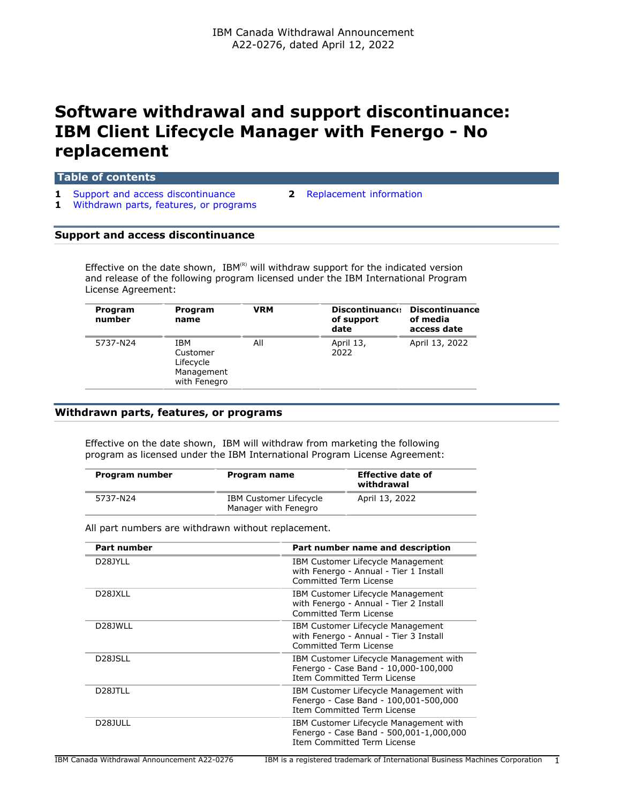# **Software withdrawal and support discontinuance: IBM Client Lifecycle Manager with Fenergo - No replacement**

#### **Table of contents**

- **1** [Support and access discontinuance](#page-0-0) **2** [Replacement information](#page-1-0)
- **1** [Withdrawn parts, features, or programs](#page-0-1)
- 

#### <span id="page-0-0"></span>**Support and access discontinuance**

Effective on the date shown,  $IBM^{(R)}$  will withdraw support for the indicated version and release of the following program licensed under the IBM International Program License Agreement:

| Program<br>number | Program<br>name                                            | VRM | <b>Discontinuance</b><br>of support<br>date | <b>Discontinuance</b><br>of media<br>access date |
|-------------------|------------------------------------------------------------|-----|---------------------------------------------|--------------------------------------------------|
| 5737-N24          | IBM<br>Customer<br>Lifecycle<br>Management<br>with Fenegro | All | April 13,<br>2022                           | April 13, 2022                                   |

## <span id="page-0-1"></span>**Withdrawn parts, features, or programs**

Effective on the date shown, IBM will withdraw from marketing the following program as licensed under the IBM International Program License Agreement:

| Program number | Program name                                          | <b>Effective date of</b><br>withdrawal |
|----------------|-------------------------------------------------------|----------------------------------------|
| 5737-N24       | <b>IBM Customer Lifecycle</b><br>Manager with Fenegro | April 13, 2022                         |

All part numbers are withdrawn without replacement.

| <b>Part number</b>   | Part number name and description                                                                                        |
|----------------------|-------------------------------------------------------------------------------------------------------------------------|
| D <sub>28</sub> JYLL | IBM Customer Lifecycle Management<br>with Fenergo - Annual - Tier 1 Install<br>Committed Term License                   |
| D28JXLL              | IBM Customer Lifecycle Management<br>with Fenergo - Annual - Tier 2 Install<br>Committed Term License                   |
| D <sub>28</sub> JWLL | IBM Customer Lifecycle Management<br>with Fenergo - Annual - Tier 3 Install<br>Committed Term License                   |
| D <sub>28</sub> JSLL | IBM Customer Lifecycle Management with<br>Fenergo - Case Band - 10,000-100,000<br><b>Item Committed Term License</b>    |
| D <sub>28</sub> JTLL | IBM Customer Lifecycle Management with<br>Fenergo - Case Band - 100,001-500,000<br>Item Committed Term License          |
| D <sub>28</sub> JULL | IBM Customer Lifecycle Management with<br>Fenergo - Case Band - 500,001-1,000,000<br><b>Item Committed Term License</b> |